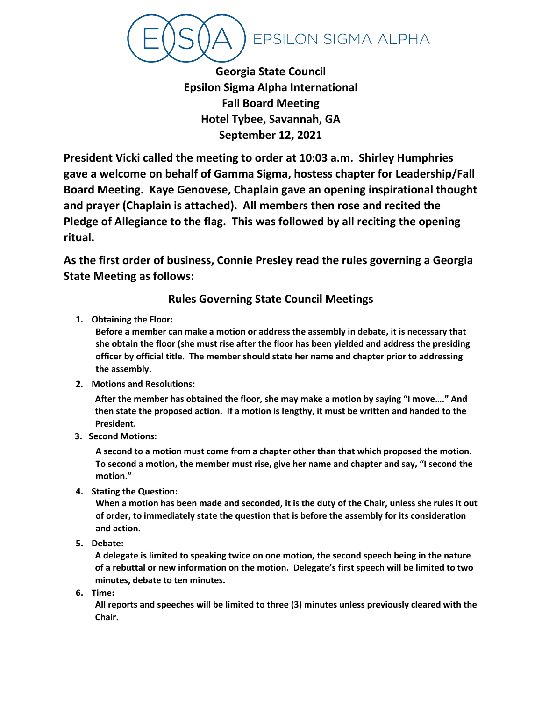**EPSILON SIGMA ALPHA** 

**Georgia State Council Epsilon Sigma Alpha International Fall Board Meeting Hotel Tybee, Savannah, GA September 12, 2021**

**President Vicki called the meeting to order at 10:03 a.m. Shirley Humphries gave a welcome on behalf of Gamma Sigma, hostess chapter for Leadership/Fall Board Meeting. Kaye Genovese, Chaplain gave an opening inspirational thought and prayer (Chaplain is attached). All members then rose and recited the Pledge of Allegiance to the flag. This was followed by all reciting the opening ritual.**

**As the first order of business, Connie Presley read the rules governing a Georgia State Meeting as follows:**

# **Rules Governing State Council Meetings**

**1. Obtaining the Floor:**

**Before a member can make a motion or address the assembly in debate, it is necessary that she obtain the floor (she must rise after the floor has been yielded and address the presiding officer by official title. The member should state her name and chapter prior to addressing the assembly.**

**2. Motions and Resolutions:**

**After the member has obtained the floor, she may make a motion by saying "I move…." And then state the proposed action. If a motion is lengthy, it must be written and handed to the President.**

**3. Second Motions:**

**A second to a motion must come from a chapter other than that which proposed the motion. To second a motion, the member must rise, give her name and chapter and say, "I second the motion."**

**4. Stating the Question:**

**When a motion has been made and seconded, it is the duty of the Chair, unless she rules it out of order, to immediately state the question that is before the assembly for its consideration and action.**

**5. Debate:**

**A delegate is limited to speaking twice on one motion, the second speech being in the nature of a rebuttal or new information on the motion. Delegate's first speech will be limited to two minutes, debate to ten minutes.**

**6. Time:**

**All reports and speeches will be limited to three (3) minutes unless previously cleared with the Chair.**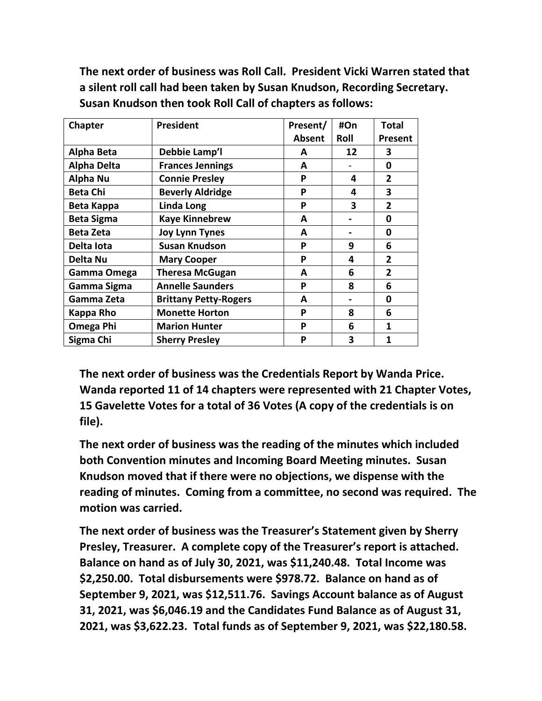**The next order of business was Roll Call. President Vicki Warren stated that a silent roll call had been taken by Susan Knudson, Recording Secretary. Susan Knudson then took Roll Call of chapters as follows:**

| Chapter            | <b>President</b>             | Present/ | #On  | <b>Total</b>   |
|--------------------|------------------------------|----------|------|----------------|
|                    |                              | Absent   | Roll | <b>Present</b> |
| <b>Alpha Beta</b>  | Debbie Lamp'l                | A        | 12   | 3              |
| <b>Alpha Delta</b> | <b>Frances Jennings</b>      | A        |      | 0              |
| Alpha Nu           | <b>Connie Presley</b>        | P        | 4    | $\overline{2}$ |
| <b>Beta Chi</b>    | <b>Beverly Aldridge</b>      | P        | 4    | 3              |
| Beta Kappa         | <b>Linda Long</b>            | P        | 3    | $\overline{2}$ |
| <b>Beta Sigma</b>  | <b>Kaye Kinnebrew</b>        | A        |      | 0              |
| <b>Beta Zeta</b>   | <b>Joy Lynn Tynes</b>        | A        |      | 0              |
| Delta lota         | <b>Susan Knudson</b>         | P        | 9    | 6              |
| Delta Nu           | <b>Mary Cooper</b>           | P        | 4    | $\overline{2}$ |
| Gamma Omega        | <b>Theresa McGugan</b>       | A        | 6    | $\overline{2}$ |
| Gamma Sigma        | <b>Annelle Saunders</b>      | P        | 8    | 6              |
| Gamma Zeta         | <b>Brittany Petty-Rogers</b> | A        |      | 0              |
| Kappa Rho          | <b>Monette Horton</b>        | P        | 8    | 6              |
| Omega Phi          | <b>Marion Hunter</b>         | P        | 6    | 1              |
| Sigma Chi          | <b>Sherry Presley</b>        | P        | 3    | 1              |

**The next order of business was the Credentials Report by Wanda Price. Wanda reported 11 of 14 chapters were represented with 21 Chapter Votes, 15 Gavelette Votes for a total of 36 Votes (A copy of the credentials is on file).**

**The next order of business was the reading of the minutes which included both Convention minutes and Incoming Board Meeting minutes. Susan Knudson moved that if there were no objections, we dispense with the reading of minutes. Coming from a committee, no second was required. The motion was carried.**

**The next order of business was the Treasurer's Statement given by Sherry Presley, Treasurer. A complete copy of the Treasurer's report is attached. Balance on hand as of July 30, 2021, was \$11,240.48. Total Income was \$2,250.00. Total disbursements were \$978.72. Balance on hand as of September 9, 2021, was \$12,511.76. Savings Account balance as of August 31, 2021, was \$6,046.19 and the Candidates Fund Balance as of August 31, 2021, was \$3,622.23. Total funds as of September 9, 2021, was \$22,180.58.**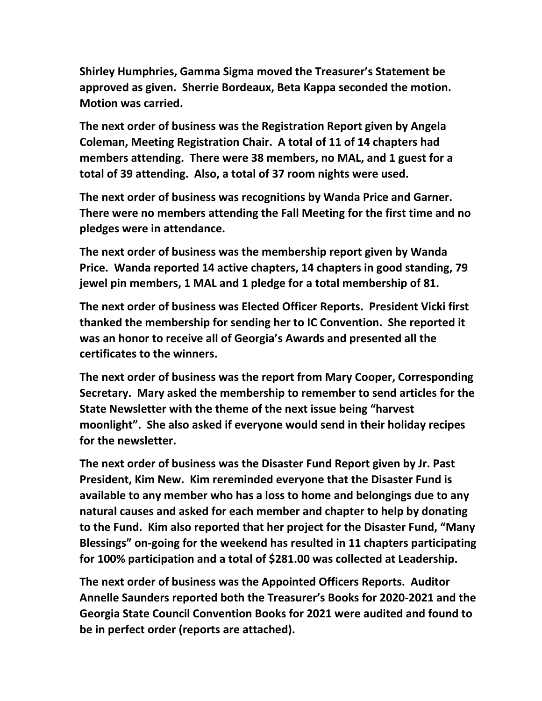**Shirley Humphries, Gamma Sigma moved the Treasurer's Statement be approved as given. Sherrie Bordeaux, Beta Kappa seconded the motion. Motion was carried.**

**The next order of business was the Registration Report given by Angela Coleman, Meeting Registration Chair. A total of 11 of 14 chapters had members attending. There were 38 members, no MAL, and 1 guest for a total of 39 attending. Also, a total of 37 room nights were used.**

**The next order of business was recognitions by Wanda Price and Garner. There were no members attending the Fall Meeting for the first time and no pledges were in attendance.**

**The next order of business was the membership report given by Wanda Price. Wanda reported 14 active chapters, 14 chapters in good standing, 79 jewel pin members, 1 MAL and 1 pledge for a total membership of 81.**

**The next order of business was Elected Officer Reports. President Vicki first thanked the membership for sending her to IC Convention. She reported it was an honor to receive all of Georgia's Awards and presented all the certificates to the winners.**

**The next order of business was the report from Mary Cooper, Corresponding Secretary. Mary asked the membership to remember to send articles for the State Newsletter with the theme of the next issue being "harvest moonlight". She also asked if everyone would send in their holiday recipes for the newsletter.**

**The next order of business was the Disaster Fund Report given by Jr. Past President, Kim New. Kim rereminded everyone that the Disaster Fund is available to any member who has a loss to home and belongings due to any natural causes and asked for each member and chapter to help by donating to the Fund. Kim also reported that her project for the Disaster Fund, "Many Blessings" on-going for the weekend has resulted in 11 chapters participating for 100% participation and a total of \$281.00 was collected at Leadership.** 

**The next order of business was the Appointed Officers Reports. Auditor Annelle Saunders reported both the Treasurer's Books for 2020-2021 and the Georgia State Council Convention Books for 2021 were audited and found to be in perfect order (reports are attached).**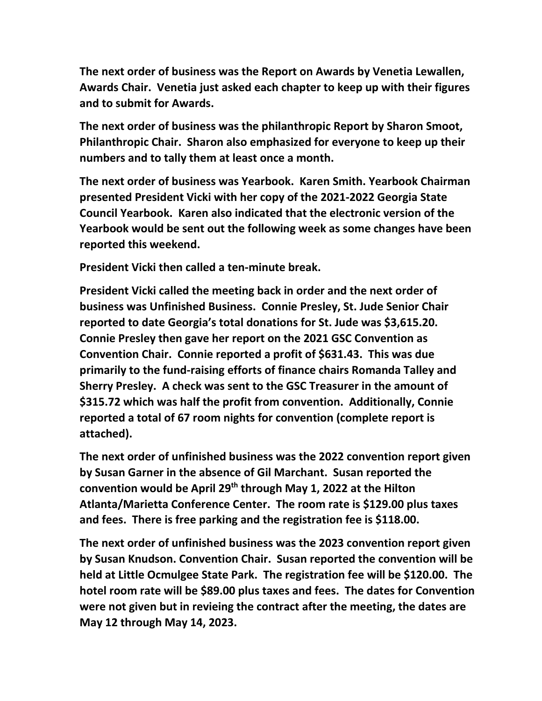**The next order of business was the Report on Awards by Venetia Lewallen, Awards Chair. Venetia just asked each chapter to keep up with their figures and to submit for Awards.**

**The next order of business was the philanthropic Report by Sharon Smoot, Philanthropic Chair. Sharon also emphasized for everyone to keep up their numbers and to tally them at least once a month.**

**The next order of business was Yearbook. Karen Smith. Yearbook Chairman presented President Vicki with her copy of the 2021-2022 Georgia State Council Yearbook. Karen also indicated that the electronic version of the Yearbook would be sent out the following week as some changes have been reported this weekend.**

**President Vicki then called a ten-minute break.**

**President Vicki called the meeting back in order and the next order of business was Unfinished Business. Connie Presley, St. Jude Senior Chair reported to date Georgia's total donations for St. Jude was \$3,615.20. Connie Presley then gave her report on the 2021 GSC Convention as Convention Chair. Connie reported a profit of \$631.43. This was due primarily to the fund-raising efforts of finance chairs Romanda Talley and Sherry Presley. A check was sent to the GSC Treasurer in the amount of \$315.72 which was half the profit from convention. Additionally, Connie reported a total of 67 room nights for convention (complete report is attached).**

**The next order of unfinished business was the 2022 convention report given by Susan Garner in the absence of Gil Marchant. Susan reported the convention would be April 29th through May 1, 2022 at the Hilton Atlanta/Marietta Conference Center. The room rate is \$129.00 plus taxes and fees. There is free parking and the registration fee is \$118.00.**

**The next order of unfinished business was the 2023 convention report given by Susan Knudson. Convention Chair. Susan reported the convention will be held at Little Ocmulgee State Park. The registration fee will be \$120.00. The hotel room rate will be \$89.00 plus taxes and fees. The dates for Convention were not given but in revieing the contract after the meeting, the dates are May 12 through May 14, 2023.**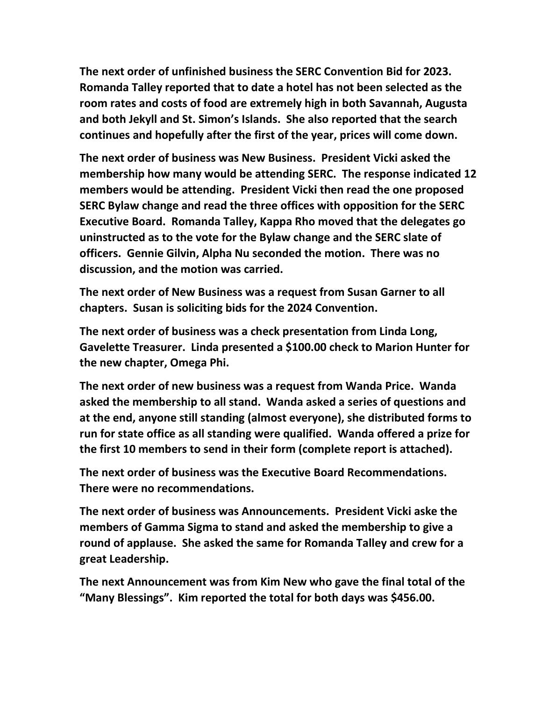**The next order of unfinished business the SERC Convention Bid for 2023. Romanda Talley reported that to date a hotel has not been selected as the room rates and costs of food are extremely high in both Savannah, Augusta and both Jekyll and St. Simon's Islands. She also reported that the search continues and hopefully after the first of the year, prices will come down.** 

**The next order of business was New Business. President Vicki asked the membership how many would be attending SERC. The response indicated 12 members would be attending. President Vicki then read the one proposed SERC Bylaw change and read the three offices with opposition for the SERC Executive Board. Romanda Talley, Kappa Rho moved that the delegates go uninstructed as to the vote for the Bylaw change and the SERC slate of officers. Gennie Gilvin, Alpha Nu seconded the motion. There was no discussion, and the motion was carried.**

**The next order of New Business was a request from Susan Garner to all chapters. Susan is soliciting bids for the 2024 Convention.**

**The next order of business was a check presentation from Linda Long, Gavelette Treasurer. Linda presented a \$100.00 check to Marion Hunter for the new chapter, Omega Phi.**

**The next order of new business was a request from Wanda Price. Wanda asked the membership to all stand. Wanda asked a series of questions and at the end, anyone still standing (almost everyone), she distributed forms to run for state office as all standing were qualified. Wanda offered a prize for the first 10 members to send in their form (complete report is attached).**

**The next order of business was the Executive Board Recommendations. There were no recommendations.**

**The next order of business was Announcements. President Vicki aske the members of Gamma Sigma to stand and asked the membership to give a round of applause. She asked the same for Romanda Talley and crew for a great Leadership.**

**The next Announcement was from Kim New who gave the final total of the "Many Blessings". Kim reported the total for both days was \$456.00.**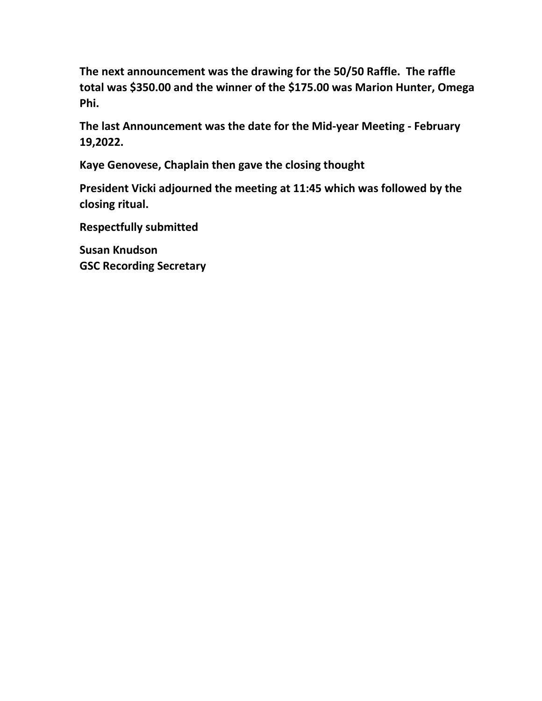**The next announcement was the drawing for the 50/50 Raffle. The raffle total was \$350.00 and the winner of the \$175.00 was Marion Hunter, Omega Phi.**

**The last Announcement was the date for the Mid-year Meeting - February 19,2022.**

**Kaye Genovese, Chaplain then gave the closing thought**

**President Vicki adjourned the meeting at 11:45 which was followed by the closing ritual.**

**Respectfully submitted**

**Susan Knudson GSC Recording Secretary**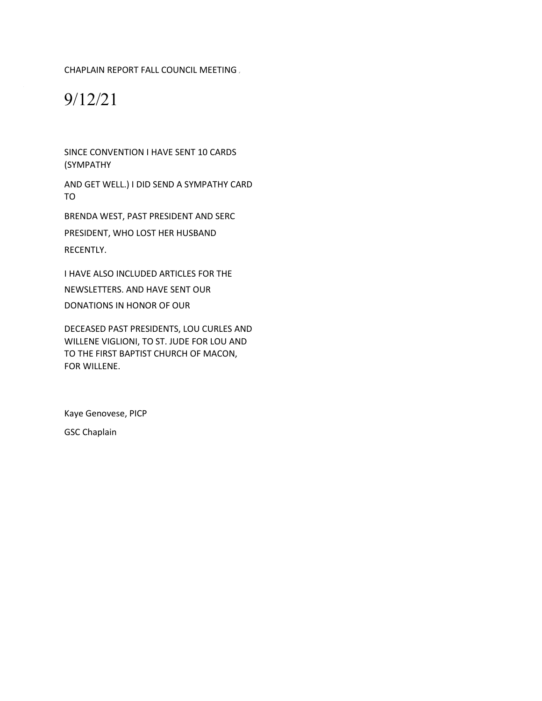CHAPLAIN REPORT FALL COUNCIL MEETING

# 9/12/21

SINCE CONVENTION I HAVE SENT 10 CARDS (SYMPATHY

AND GET WELL.) I DID SEND A SYMPATHY CARD TO

BRENDA WEST, PAST PRESIDENT AND SERC PRESIDENT, WHO LOST HER HUSBAND RECENTLY.

I HAVE ALSO INCLUDED ARTICLES FOR THE NEWSLETTERS. AND HAVE SENT OUR DONATIONS IN HONOR OF OUR

DECEASED PAST PRESIDENTS, LOU CURLES AND WILLENE VIGLIONI, TO ST. JUDE FOR LOU AND TO THE FIRST BAPTIST CHURCH OF MACON, FOR WILLENE.

Kaye Genovese, PICP GSC Chaplain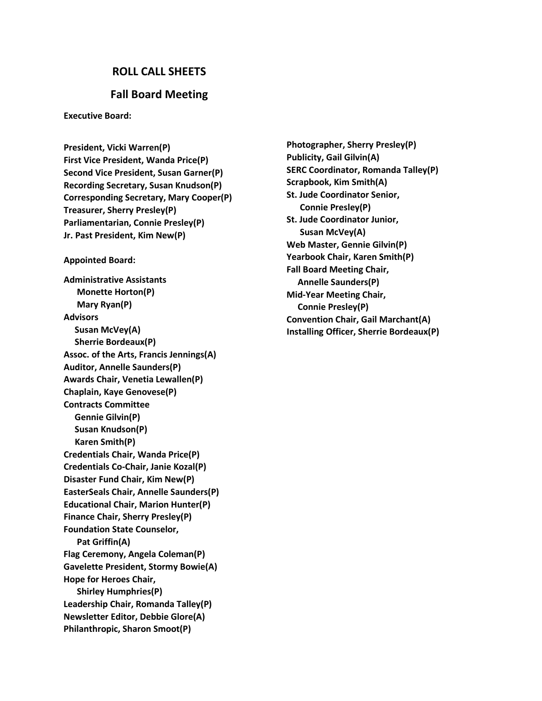# **ROLL CALL SHEETS**

# **Fall Board Meeting**

**Executive Board:**

**President, Vicki Warren(P) First Vice President, Wanda Price(P) Second Vice President, Susan Garner(P) Recording Secretary, Susan Knudson(P) Corresponding Secretary, Mary Cooper(P) Treasurer, Sherry Presley(P) Parliamentarian, Connie Presley(P) Jr. Past President, Kim New(P)**

#### **Appointed Board:**

**Administrative Assistants Monette Horton(P) Mary Ryan(P) Advisors Susan McVey(A) Sherrie Bordeaux(P) Assoc. of the Arts, Francis Jennings(A) Auditor, Annelle Saunders(P) Awards Chair, Venetia Lewallen(P) Chaplain, Kaye Genovese(P) Contracts Committee Gennie Gilvin(P) Susan Knudson(P) Karen Smith(P) Credentials Chair, Wanda Price(P) Credentials Co-Chair, Janie Kozal(P) Disaster Fund Chair, Kim New(P) EasterSeals Chair, Annelle Saunders(P) Educational Chair, Marion Hunter(P) Finance Chair, Sherry Presley(P) Foundation State Counselor, Pat Griffin(A) Flag Ceremony, Angela Coleman(P) Gavelette President, Stormy Bowie(A) Hope for Heroes Chair, Shirley Humphries(P) Leadership Chair, Romanda Talley(P) Newsletter Editor, Debbie Glore(A) Philanthropic, Sharon Smoot(P)**

**Photographer, Sherry Presley(P) Publicity, Gail Gilvin(A) SERC Coordinator, Romanda Talley(P) Scrapbook, Kim Smith(A) St. Jude Coordinator Senior, Connie Presley(P) St. Jude Coordinator Junior, Susan McVey(A) Web Master, Gennie Gilvin(P) Yearbook Chair, Karen Smith(P) Fall Board Meeting Chair, Annelle Saunders(P) Mid-Year Meeting Chair, Connie Presley(P) Convention Chair, Gail Marchant(A) Installing Officer, Sherrie Bordeaux(P)**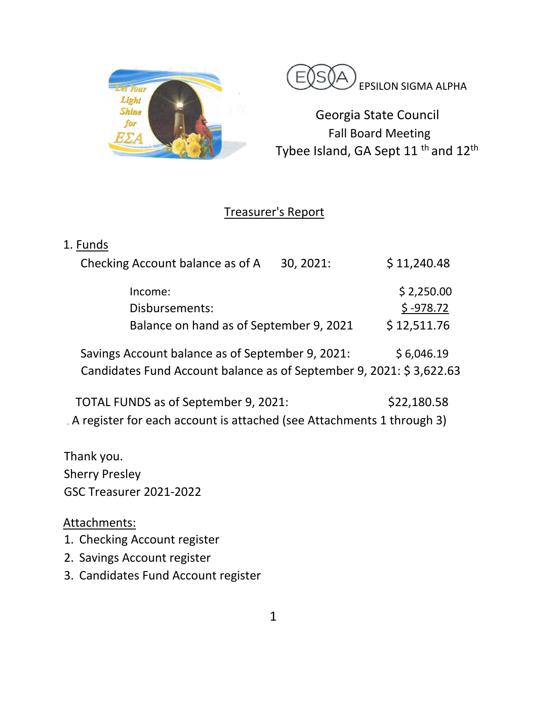



Georgia State Council Fall Board Meeting Tybee Island, GA Sept 11<sup>th</sup> and 12<sup>th</sup>

# Treasurer's Report

| 1. Funds                                                                |             |             |
|-------------------------------------------------------------------------|-------------|-------------|
| Checking Account balance as of A                                        | 30, 2021:   | \$11,240.48 |
| Income:                                                                 |             | \$2,250.00  |
| Disbursements:                                                          | $$ -978.72$ |             |
| Balance on hand as of September 9, 2021                                 |             | \$12,511.76 |
| Savings Account balance as of September 9, 2021:                        | \$6,046.19  |             |
| Candidates Fund Account balance as of September 9, 2021: \$3,622.63     |             |             |
| TOTAL FUNDS as of September 9, 2021:                                    | \$22,180.58 |             |
| . A register for each account is attached (see Attachments 1 through 3) |             |             |

Thank you. Sherry Presley GSC Treasurer 2021-2022

Attachments:

- 1. Checking Account register
- 2. Savings Account register
- 3. Candidates Fund Account register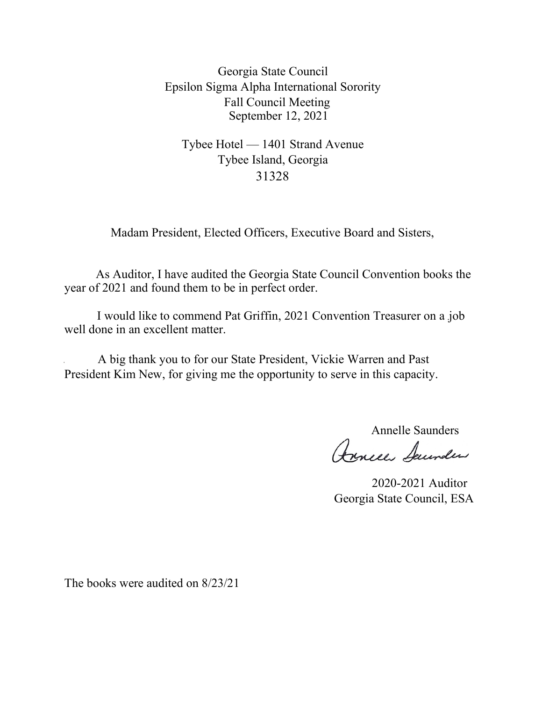Georgia State Council Epsilon Sigma Alpha International Sorority Fall Council Meeting September 12, 2021

Tybee Hotel — 1401 Strand Avenue Tybee Island, Georgia 31328

Madam President, Elected Officers, Executive Board and Sisters,

As Auditor, I have audited the Georgia State Council Convention books the year of 2021 and found them to be in perfect order.

I would like to commend Pat Griffin, 2021 Convention Treasurer on a job well done in an excellent matter.

A big thank you to for our State President, Vickie Warren and Past President Kim New, for giving me the opportunity to serve in this capacity.

Annelle Saunders<br>Reneur Seunder

2020-2021 Auditor Georgia State Council, ESA

The books were audited on 8/23/21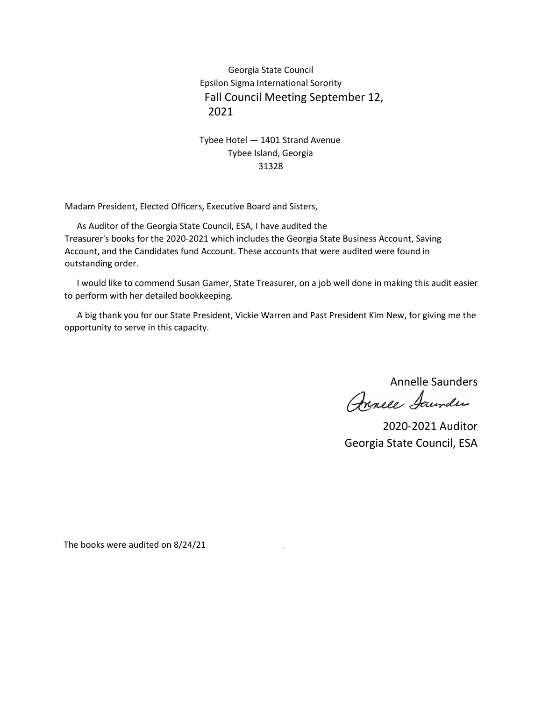Georgia State Council Epsilon Sigma International Sorority Fall Council Meeting September 12, 2021

# Tybee Hotel — 1401 Strand Avenue Tybee Island, Georgia 31328

Madam President, Elected Officers, Executive Board and Sisters,

As Auditor of the Georgia State Council, ESA, I have audited the Treasurer's books for the 2020-2021 which includes the Georgia State Business Account, Saving Account, and the Candidates fund Account. These accounts that were audited were found in outstanding order.

I would like to commend Susan Gamer, State Treasurer, on a job well done in making this audit easier to perform with her detailed bookkeeping.

A big thank you for our State President, Vickie Warren and Past President Kim New, for giving me the opportunity to serve in this capacity.

Annelle Saunders

Annece Saunder

2020-2021 Auditor Georgia State Council, ESA

The books were audited on 8/24/21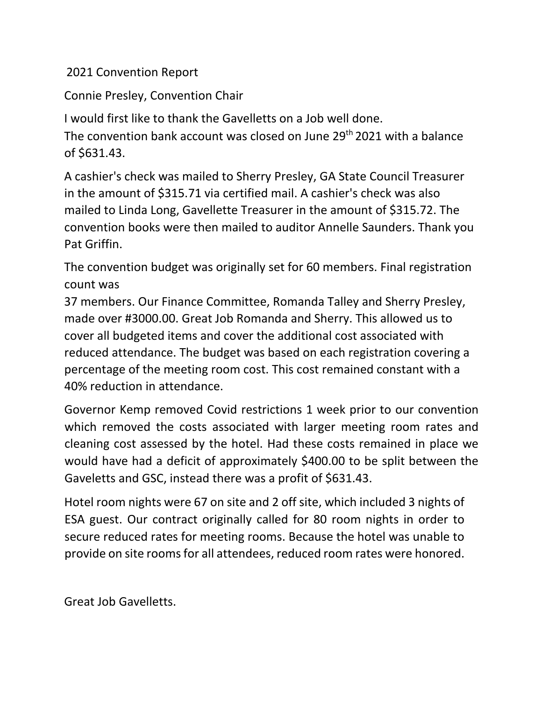2021 Convention Report

Connie Presley, Convention Chair

I would first like to thank the Gavelletts on a Job well done. The convention bank account was closed on June 29<sup>th</sup> 2021 with a balance of \$631.43.

A cashier's check was mailed to Sherry Presley, GA State Council Treasurer in the amount of \$315.71 via certified mail. A cashier's check was also mailed to Linda Long, Gavellette Treasurer in the amount of \$315.72. The convention books were then mailed to auditor Annelle Saunders. Thank you Pat Griffin.

The convention budget was originally set for 60 members. Final registration count was

37 members. Our Finance Committee, Romanda Talley and Sherry Presley, made over #3000.00. Great Job Romanda and Sherry. This allowed us to cover all budgeted items and cover the additional cost associated with reduced attendance. The budget was based on each registration covering a percentage of the meeting room cost. This cost remained constant with a 40% reduction in attendance.

Governor Kemp removed Covid restrictions 1 week prior to our convention which removed the costs associated with larger meeting room rates and cleaning cost assessed by the hotel. Had these costs remained in place we would have had a deficit of approximately \$400.00 to be split between the Gaveletts and GSC, instead there was a profit of \$631.43.

Hotel room nights were 67 on site and 2 off site, which included 3 nights of ESA guest. Our contract originally called for 80 room nights in order to secure reduced rates for meeting rooms. Because the hotel was unable to provide on site rooms for all attendees, reduced room rates were honored.

Great Job Gavelletts.